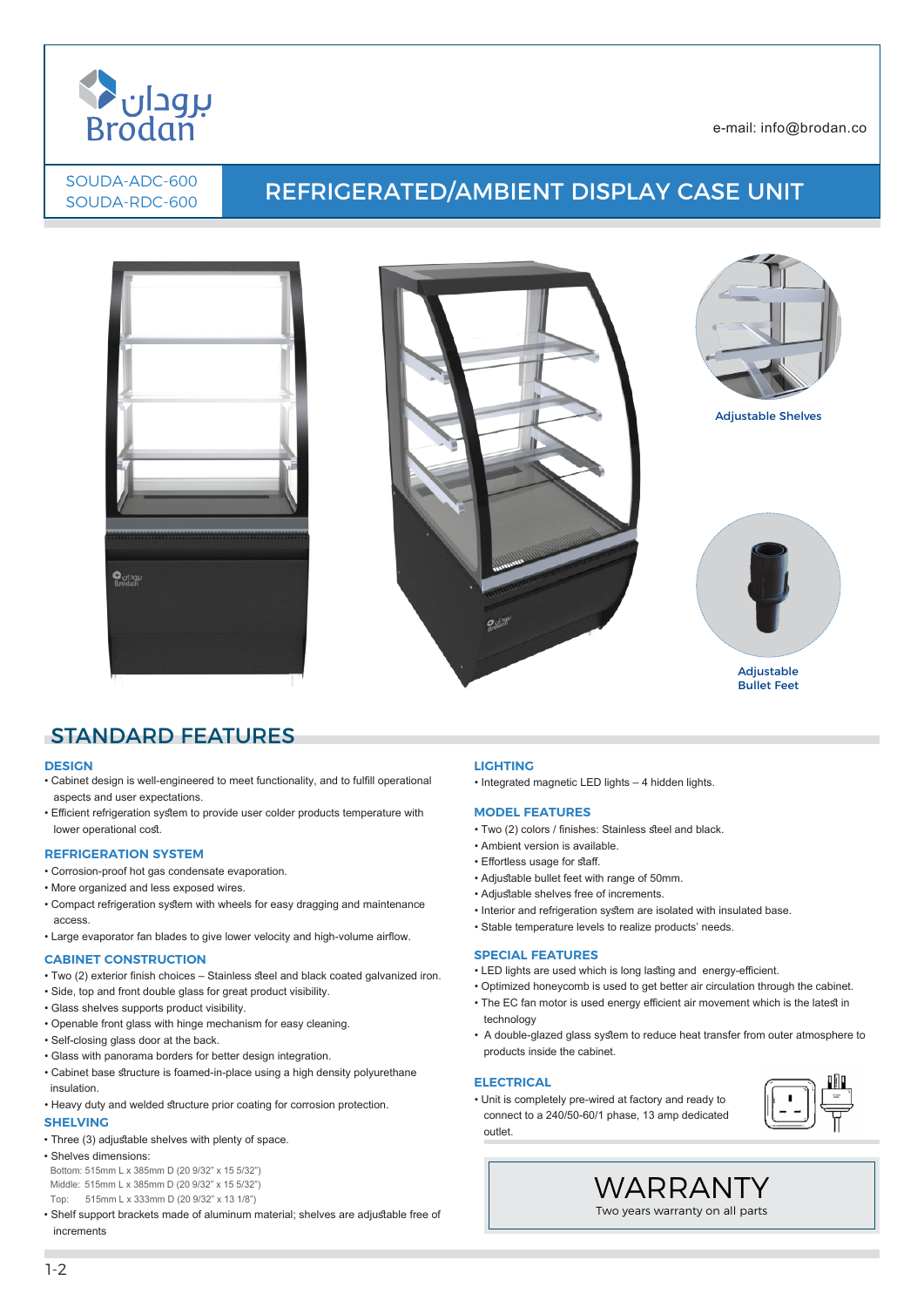

SOUDA-ADC-600

برودان **Brodan** 

# SOUDA-ADC-600 REFRIGERATED/AMBIENT DISPLAY CASE UNIT







Adjustable Shelves



Bullet Feet

## STANDARD FEATURES

#### **DESIGN**

- Cabinet design is well-engineered to meet functionality, and to fulfill operational aspects and user expectations.
- Efficient refrigeration system to provide user colder products temperature with lower operational cost.

#### **REFRIGERATION SYSTEM**

- Corrosion-proof hot gas condensate evaporation.
- More organized and less exposed wires.
- Compact refrigeration system with wheels for easy dragging and maintenance access.
- Large evaporator fan blades to give lower velocity and high-volume airflow.

#### **CABINET CONSTRUCTION**

- Two (2) exterior finish choices Stainless steel and black coated galvanized iron.
- Side, top and front double glass for great product visibility.
- Glass shelves supports product visibility.
- Openable front glass with hinge mechanism for easy cleaning.
- Self-closing glass door at the back.
- Glass with panorama borders for better design integration.
- Cabinet base structure is foamed-in-place using a high density polyurethane insulation.
- Heavy duty and welded structure prior coating for corrosion protection.

#### **SHELVING**

- Three (3) adjustable shelves with plenty of space.
- Shelves dimensions:
- Bottom: 515mm L x 385mm D (20 9/32" x 15 5/32") Middle: 515mm L x 385mm D (20 9/32" x 15 5/32")
- Top: 515mm L x 333mm D (20 9/32" x 13 1/8")
- Shelf support brackets made of aluminum material; shelves are adjustable free of increments

#### **LIGHTING**

• Integrated magnetic LED lights – 4 hidden lights.

#### **MODEL FEATURES**

- Two (2) colors / finishes: Stainless steel and black.
- Ambient version is available.
- Effortless usage for staff.
- Adjustable bullet feet with range of 50mm.
- Adjustable shelves free of increments.
- Interior and refrigeration system are isolated with insulated base.
- Stable temperature levels to realize products' needs.

#### **SPECIAL FEATURES**

- LED lights are used which is long lasting and energy-efficient.
- Optimized honeycomb is used to get better air circulation through the cabinet.
- The EC fan motor is used energy efficient air movement which is the latest in technology
- A double-glazed glass system to reduce heat transfer from outer atmosphere to products inside the cabinet.

#### **ELECTRICAL**

• Unit is completely pre-wired at factory and ready to connect to a 240/50-60/1 phase, 13 amp dedicated outlet.